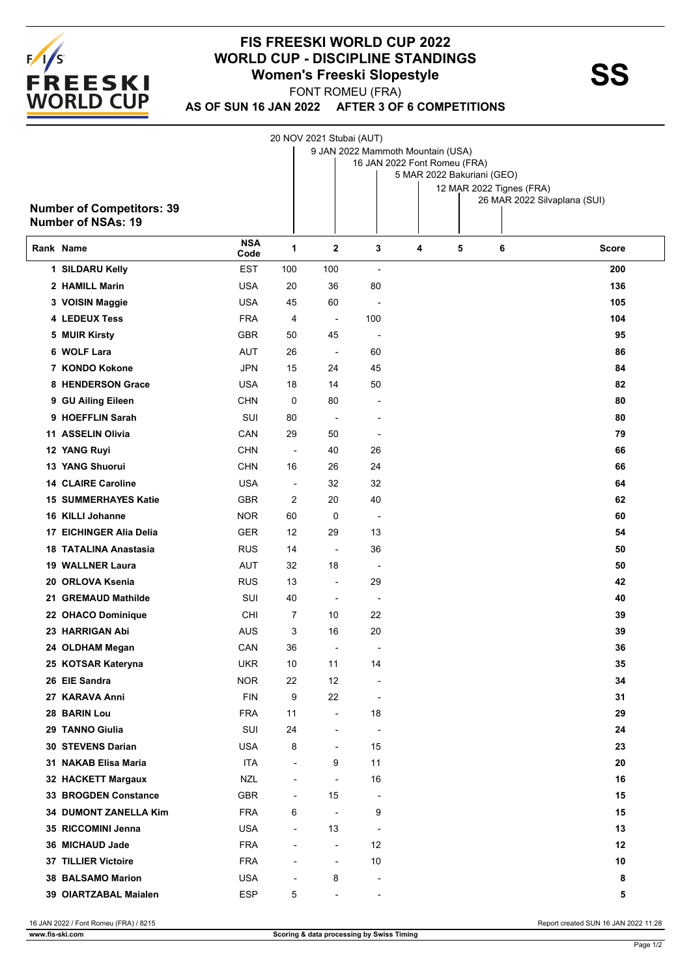

## **FIS FREESKI WORLD CUP 2022 WORLD CUP - DISCIPLINE STANDINGS<br>
Women's Freeski Slopestyle<br>
FONT BOMELL(ERA)**

FONT ROMEU (FRA)

**AS OF SUN 16 JAN 2022 AFTER 3 OF 6 COMPETITIONS**

|                                  |                    |                          | 20 NOV 2021 Stubai (AUT) |                                   |                            |   |                                                          |       |
|----------------------------------|--------------------|--------------------------|--------------------------|-----------------------------------|----------------------------|---|----------------------------------------------------------|-------|
|                                  |                    |                          |                          | 9 JAN 2022 Mammoth Mountain (USA) |                            |   |                                                          |       |
|                                  |                    |                          |                          | 16 JAN 2022 Font Romeu (FRA)      |                            |   |                                                          |       |
|                                  |                    |                          |                          |                                   | 5 MAR 2022 Bakuriani (GEO) |   |                                                          |       |
|                                  |                    |                          |                          |                                   |                            |   | 12 MAR 2022 Tignes (FRA)<br>26 MAR 2022 Silvaplana (SUI) |       |
| <b>Number of Competitors: 39</b> |                    |                          |                          |                                   |                            |   |                                                          |       |
| <b>Number of NSAs: 19</b>        |                    |                          |                          |                                   |                            |   |                                                          |       |
| Rank Name                        | <b>NSA</b><br>Code | 1                        | $\mathbf 2$              | 3                                 | 4                          | 5 | 6                                                        | Score |
| 1 SILDARU Kelly                  | <b>EST</b>         | 100                      | 100                      | ÷,                                |                            |   |                                                          | 200   |
| 2 HAMILL Marin                   | <b>USA</b>         | 20                       | 36                       | 80                                |                            |   |                                                          | 136   |
| 3 VOISIN Maggie                  | <b>USA</b>         | 45                       | 60                       | ÷                                 |                            |   |                                                          | 105   |
| 4 LEDEUX Tess                    | <b>FRA</b>         | 4                        | $\overline{\phantom{a}}$ | 100                               |                            |   |                                                          | 104   |
| 5 MUIR Kirsty                    | <b>GBR</b>         | 50                       | 45                       |                                   |                            |   |                                                          | 95    |
| 6 WOLF Lara                      | <b>AUT</b>         | 26                       | $\overline{\phantom{a}}$ | 60                                |                            |   |                                                          | 86    |
| 7 KONDO Kokone                   | JPN                | 15                       | 24                       | 45                                |                            |   |                                                          | 84    |
| 8 HENDERSON Grace                | <b>USA</b>         | 18                       | 14                       | 50                                |                            |   |                                                          | 82    |
| 9 GU Ailing Eileen               | <b>CHN</b>         | 0                        | 80                       |                                   |                            |   |                                                          | 80    |
| 9 HOEFFLIN Sarah                 | SUI                | 80                       | $\blacksquare$           |                                   |                            |   |                                                          | 80    |
| 11 ASSELIN Olivia                | CAN                | 29                       | 50                       | $\overline{\phantom{a}}$          |                            |   |                                                          | 79    |
| 12 YANG Ruyi                     | <b>CHN</b>         | $\overline{\phantom{a}}$ | 40                       | 26                                |                            |   |                                                          | 66    |
| <b>13 YANG Shuorui</b>           | <b>CHN</b>         | 16                       | 26                       | 24                                |                            |   |                                                          | 66    |
| <b>14 CLAIRE Caroline</b>        | <b>USA</b>         | $\overline{\phantom{a}}$ | 32                       | 32                                |                            |   |                                                          | 64    |
| <b>15 SUMMERHAYES Katie</b>      | <b>GBR</b>         | 2                        | 20                       | 40                                |                            |   |                                                          | 62    |
| 16 KILLI Johanne                 | NOR.               | 60                       | 0                        | $\overline{a}$                    |                            |   |                                                          | 60    |
| 17 EICHINGER Alia Delia          | <b>GER</b>         | 12                       | 29                       | 13                                |                            |   |                                                          | 54    |
| <b>18 TATALINA Anastasia</b>     | <b>RUS</b>         | 14                       | $\overline{\phantom{a}}$ | 36                                |                            |   |                                                          | 50    |
| 19 WALLNER Laura                 | <b>AUT</b>         | 32                       | 18                       | $\overline{\phantom{a}}$          |                            |   |                                                          | 50    |
| 20 ORLOVA Ksenia                 | <b>RUS</b>         | 13                       | $\overline{a}$           | 29                                |                            |   |                                                          | 42    |
| 21 GREMAUD Mathilde              | SUI                | 40                       | $\overline{a}$           | $\overline{a}$                    |                            |   |                                                          | 40    |
| 22 OHACO Dominique               | CHI                | 7                        | 10                       | 22                                |                            |   |                                                          | 39    |
| 23 HARRIGAN Abi                  | <b>AUS</b>         | 3                        | 16                       | 20                                |                            |   |                                                          | 39    |
| 24 OLDHAM Megan                  | CAN                | 36                       | $\overline{\phantom{a}}$ |                                   |                            |   |                                                          | 36    |
| 25 KOTSAR Kateryna               | <b>UKR</b>         | 10                       | 11                       | 14                                |                            |   |                                                          | 35    |
| 26 EIE Sandra                    | <b>NOR</b>         | 22                       | 12                       |                                   |                            |   |                                                          | 34    |
| 27 KARAVA Anni                   | <b>FIN</b>         | 9                        | 22                       | $\overline{\phantom{a}}$          |                            |   |                                                          | 31    |
| 28 BARIN Lou                     | <b>FRA</b>         | 11                       | $\overline{\phantom{a}}$ | 18                                |                            |   |                                                          | 29    |
| 29 TANNO Giulia                  | SUI                | 24                       | $\overline{\phantom{0}}$ | $\overline{\phantom{a}}$          |                            |   |                                                          | 24    |
| <b>30 STEVENS Darian</b>         | <b>USA</b>         | 8                        | $\blacksquare$           | 15                                |                            |   |                                                          | 23    |
| 31 NAKAB Elisa Maria             | <b>ITA</b>         | $\overline{\phantom{a}}$ | 9                        | 11                                |                            |   |                                                          | 20    |
| 32 HACKETT Margaux               | <b>NZL</b>         | $\overline{\phantom{a}}$ | $\overline{\phantom{a}}$ | 16                                |                            |   |                                                          | 16    |
| 33 BROGDEN Constance             | GBR                | $\overline{\phantom{a}}$ | 15                       | -                                 |                            |   |                                                          | 15    |
| 34 DUMONT ZANELLA Kim            | <b>FRA</b>         | 6                        | ÷,                       | 9                                 |                            |   |                                                          | 15    |
| 35 RICCOMINI Jenna               | <b>USA</b>         | $\overline{\phantom{a}}$ | 13                       | -                                 |                            |   |                                                          | 13    |
| 36 MICHAUD Jade                  | <b>FRA</b>         | $\overline{\phantom{a}}$ | $\overline{\phantom{a}}$ | 12                                |                            |   |                                                          | 12    |
| 37 TILLIER Victoire              | <b>FRA</b>         | $\overline{\phantom{a}}$ | $\overline{\phantom{a}}$ | 10                                |                            |   |                                                          | 10    |
| 38 BALSAMO Marion                | <b>USA</b>         | ÷,                       | 8                        |                                   |                            |   |                                                          | 8     |
| 39 OIARTZABAL Maialen            | <b>ESP</b>         | 5                        | $\overline{a}$           |                                   |                            |   |                                                          | 5     |
|                                  |                    |                          |                          | -                                 |                            |   |                                                          |       |

16 JAN 2022 / Font Romeu (FRA) / 8215 Report created SUN 16 JAN 2022 11:28